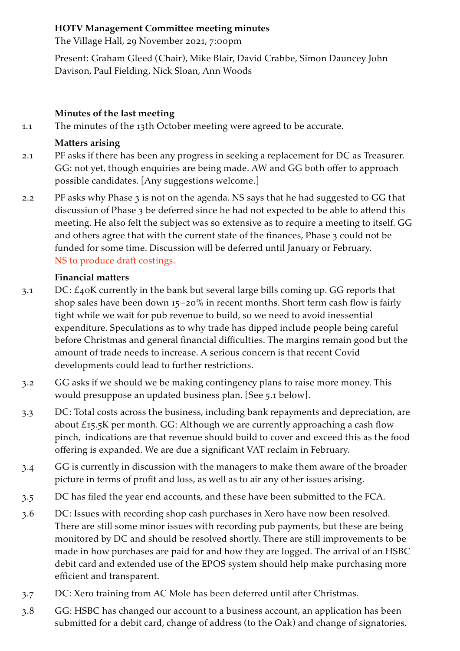#### **HOTV Management Committee meeting minutes**

The Village Hall, 29 November 2021, 7:00pm

Present: Graham Gleed (Chair), Mike Blair, David Crabbe, Simon Dauncey John Davison, Paul Fielding, Nick Sloan, Ann Woods

#### **Minutes of the last meeting**

1.1 The minutes of the 13th October meeting were agreed to be accurate.

#### **Matters arising**

- 2.1 PF asks if there has been any progress in seeking a replacement for DC as Treasurer. GG: not yet, though enquiries are being made. AW and GG both offer to approach possible candidates. [Any suggestions welcome.]
- 2.2 PF asks why Phase 3 is not on the agenda. NS says that he had suggested to GG that discussion of Phase 3 be deferred since he had not expected to be able to attend this meeting. He also felt the subject was so extensive as to require a meeting to itself. GG and others agree that with the current state of the finances, Phase 3 could not be funded for some time. Discussion will be deferred until January or February. NS to produce draft costings.

## **Financial matters**

- 3.1 DC: £40K currently in the bank but several large bills coming up. GG reports that shop sales have been down 15–20% in recent months. Short term cash flow is fairly tight while we wait for pub revenue to build, so we need to avoid inessential expenditure. Speculations as to why trade has dipped include people being careful before Christmas and general financial difficulties. The margins remain good but the amount of trade needs to increase. A serious concern is that recent Covid developments could lead to further restrictions.
- 3.2 GG asks if we should we be making contingency plans to raise more money. This would presuppose an updated business plan. [See 5.1 below].
- 3.3 DC: Total costs across the business, including bank repayments and depreciation, are about £15.5K per month. GG: Although we are currently approaching a cash flow pinch, indications are that revenue should build to cover and exceed this as the food offering is expanded. We are due a significant VAT reclaim in February.
- 3.4 GG is currently in discussion with the managers to make them aware of the broader picture in terms of profit and loss, as well as to air any other issues arising.
- 3.5 DC has filed the year end accounts, and these have been submitted to the FCA.
- 3.6 DC: Issues with recording shop cash purchases in Xero have now been resolved. There are still some minor issues with recording pub payments, but these are being monitored by DC and should be resolved shortly. There are still improvements to be made in how purchases are paid for and how they are logged. The arrival of an HSBC debit card and extended use of the EPOS system should help make purchasing more efficient and transparent.
- 3.7 DC: Xero training from AC Mole has been deferred until after Christmas.
- 3.8 GG: HSBC has changed our account to a business account, an application has been submitted for a debit card, change of address (to the Oak) and change of signatories.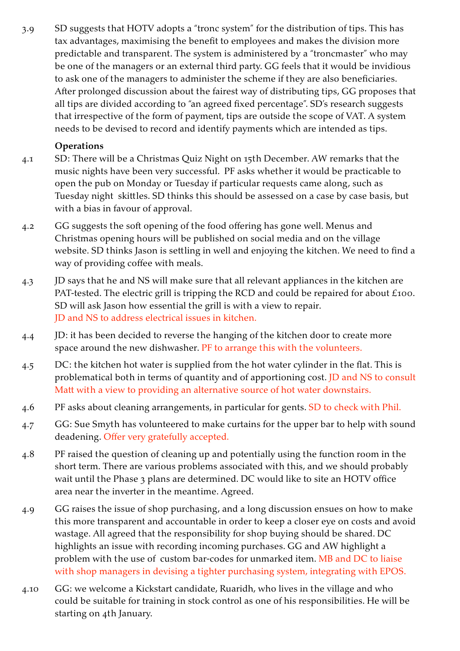3.9 SD suggests that HOTV adopts a "tronc system" for the distribution of tips. This has tax advantages, maximising the benefit to employees and makes the division more predictable and transparent. The system is administered by a "troncmaster" who may be one of the managers or an external third party. GG feels that it would be invidious to ask one of the managers to administer the scheme if they are also beneficiaries. After prolonged discussion about the fairest way of distributing tips, GG proposes that all tips are divided according to "an agreed fixed percentage". SD's research suggests that irrespective of the form of payment, tips are outside the scope of VAT. A system needs to be devised to record and identify payments which are intended as tips.

## **Operations**

- 4.1 SD: There will be a Christmas Quiz Night on 15th December. AW remarks that the music nights have been very successful. PF asks whether it would be practicable to open the pub on Monday or Tuesday if particular requests came along, such as Tuesday night skittles. SD thinks this should be assessed on a case by case basis, but with a bias in favour of approval.
- 4.2 GG suggests the soft opening of the food offering has gone well. Menus and Christmas opening hours will be published on social media and on the village website. SD thinks Jason is settling in well and enjoying the kitchen. We need to find a way of providing coffee with meals.
- 4.3 JD says that he and NS will make sure that all relevant appliances in the kitchen are PAT-tested. The electric grill is tripping the RCD and could be repaired for about £100. SD will ask Jason how essential the grill is with a view to repair. JD and NS to address electrical issues in kitchen.
- 4.4 JD: it has been decided to reverse the hanging of the kitchen door to create more space around the new dishwasher. PF to arrange this with the volunteers.
- 4.5 DC: the kitchen hot water is supplied from the hot water cylinder in the flat. This is problematical both in terms of quantity and of apportioning cost. JD and NS to consult Matt with a view to providing an alternative source of hot water downstairs.
- 4.6 PF asks about cleaning arrangements, in particular for gents. SD to check with Phil.
- 4.7 GG: Sue Smyth has volunteered to make curtains for the upper bar to help with sound deadening. Offer very gratefully accepted.
- 4.8 PF raised the question of cleaning up and potentially using the function room in the short term. There are various problems associated with this, and we should probably wait until the Phase 3 plans are determined. DC would like to site an HOTV office area near the inverter in the meantime. Agreed.
- 4.9 GG raises the issue of shop purchasing, and a long discussion ensues on how to make this more transparent and accountable in order to keep a closer eye on costs and avoid wastage. All agreed that the responsibility for shop buying should be shared. DC highlights an issue with recording incoming purchases. GG and AW highlight a problem with the use of custom bar-codes for unmarked item. MB and DC to liaise with shop managers in devising a tighter purchasing system, integrating with EPOS.
- 4.10 GG: we welcome a Kickstart candidate, Ruaridh, who lives in the village and who could be suitable for training in stock control as one of his responsibilities. He will be starting on 4th January.